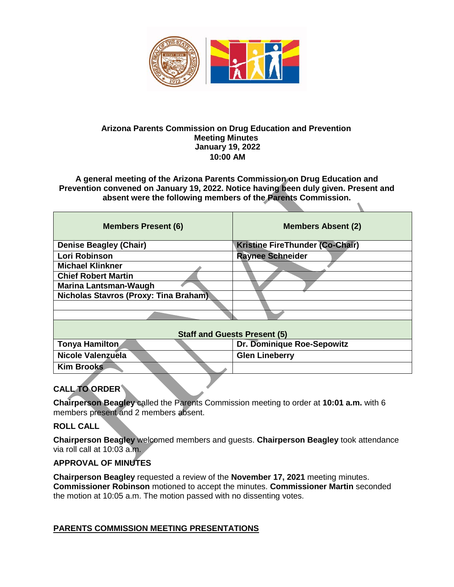

#### **Arizona Parents Commission on Drug Education and Prevention Meeting Minutes January 19, 2022 10:00 AM**

**A general meeting of the Arizona Parents Commission on Drug Education and Prevention convened on January 19, 2022. Notice having been duly given. Present and absent were the following members of the Parents Commission.** 

| <b>Members Present (6)</b>            | <b>Members Absent (2)</b>       |
|---------------------------------------|---------------------------------|
| <b>Denise Beagley (Chair)</b>         | Kristine FireThunder (Co-Chair) |
| Lori Robinson                         | <b>Raynee Schneider</b>         |
| <b>Michael Klinkner</b>               |                                 |
| <b>Chief Robert Martin</b>            |                                 |
| <b>Marina Lantsman-Waugh</b>          |                                 |
| Nicholas Stavros (Proxy: Tina Braham) |                                 |
|                                       |                                 |
|                                       |                                 |
| <b>Staff and Guests Present (5)</b>   |                                 |
| <b>Tonya Hamilton</b>                 | Dr. Dominique Roe-Sepowitz      |
| <b>Nicole Valenzuela</b>              | <b>Glen Lineberry</b>           |
| <b>Kim Brooks</b>                     |                                 |

## **CALL TO ORDER**

**Chairperson Beagley** called the Parents Commission meeting to order at **10:01 a.m.** with 6 members present and 2 members absent.

#### **ROLL CALL**

**Chairperson Beagley** welcomed members and guests. **Chairperson Beagley** took attendance via roll call at 10:03 a.m.

#### **APPROVAL OF MINUTES**

**Chairperson Beagley** requested a review of the **November 17, 2021** meeting minutes. **Commissioner Robinson** motioned to accept the minutes. **Commissioner Martin** seconded the motion at 10:05 a.m. The motion passed with no dissenting votes.

#### **PARENTS COMMISSION MEETING PRESENTATIONS**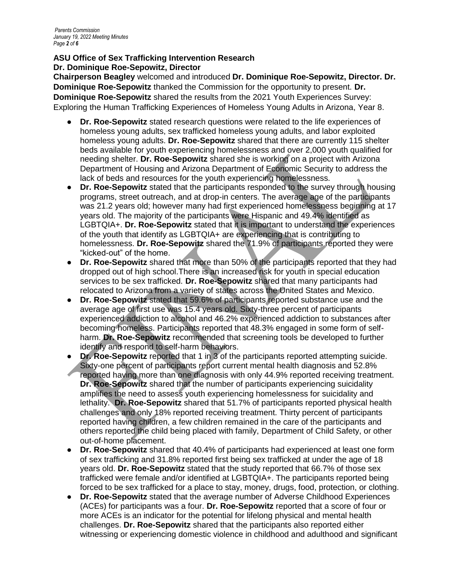#### **ASU Office of Sex Trafficking Intervention Research Dr. Dominique Roe-Sepowitz, Director**

**Chairperson Beagley** welcomed and introduced **Dr. Dominique Roe-Sepowitz, Director. Dr. Dominique Roe-Sepowitz** thanked the Commission for the opportunity to present. **Dr. Dominique Roe-Sepowitz** shared the results from the 2021 Youth Experiences Survey: Exploring the Human Trafficking Experiences of Homeless Young Adults in Arizona, Year 8.

- **Dr. Roe-Sepowitz** stated research questions were related to the life experiences of homeless young adults, sex trafficked homeless young adults, and labor exploited homeless young adults. **Dr. Roe-Sepowitz** shared that there are currently 115 shelter beds available for youth experiencing homelessness and over 2,000 youth qualified for needing shelter. **Dr. Roe-Sepowitz** shared she is working on a project with Arizona Department of Housing and Arizona Department of Economic Security to address the lack of beds and resources for the youth experiencing homelessness.
- **Dr. Roe-Sepowitz** stated that the participants responded to the survey through housing programs, street outreach, and at drop-in centers. The average age of the participants was 21.2 years old; however many had first experienced homelessness beginning at 17 years old. The majority of the participants were Hispanic and 49.4% identified as LGBTQIA+. **Dr. Roe-Sepowitz** stated that it is important to understand the experiences of the youth that identify as LGBTQIA+ are experiencing that is contributing to homelessness. **Dr. Roe-Sepowitz** shared the 71.9% of participants reported they were "kicked-out" of the home.
- **Dr. Roe-Sepowitz** shared that more than 50% of the participants reported that they had dropped out of high school.There is an increased risk for youth in special education services to be sex trafficked. **Dr. Roe-Sepowitz** shared that many participants had relocated to Arizona from a variety of states across the United States and Mexico.
- **Dr. Roe-Sepowitz** stated that 59.6% of participants reported substance use and the average age of first use was 15.4 years old. Sixty-three percent of participants experienced addiction to alcohol and 46.2% experienced addiction to substances after becoming homeless. Participants reported that 48.3% engaged in some form of selfharm. **Dr. Roe-Sepowitz** recommended that screening tools be developed to further identify and respond to self-harm behaviors.
- **Dr. Roe-Sepowitz** reported that 1 in 3 of the participants reported attempting suicide. Sixty-one percent of participants report current mental health diagnosis and 52.8% reported having more than one diagnosis with only 44.9% reported receiving treatment. **Dr. Roe-Sepowitz** shared that the number of participants experiencing suicidality amplifies the need to assess youth experiencing homelessness for suicidality and lethality. **Dr. Roe-Sepowitz** shared that 51.7% of participants reported physical health challenges and only 18% reported receiving treatment. Thirty percent of participants reported having children, a few children remained in the care of the participants and others reported the child being placed with family, Department of Child Safety, or other out-of-home placement.
- **Dr. Roe-Sepowitz** shared that 40.4% of participants had experienced at least one form of sex trafficking and 31.8% reported first being sex trafficked at under the age of 18 years old. **Dr. Roe-Sepowitz** stated that the study reported that 66.7% of those sex trafficked were female and/or identified at LGBTQIA+. The participants reported being forced to be sex trafficked for a place to stay, money, drugs, food, protection, or clothing.
- **Dr. Roe-Sepowitz** stated that the average number of Adverse Childhood Experiences (ACEs) for participants was a four. **Dr. Roe-Sepowitz** reported that a score of four or more ACEs is an indicator for the potential for lifelong physical and mental health challenges. **Dr. Roe-Sepowitz** shared that the participants also reported either witnessing or experiencing domestic violence in childhood and adulthood and significant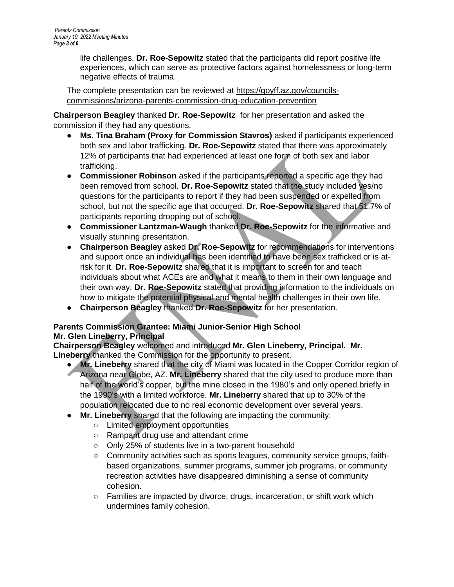life challenges. **Dr. Roe-Sepowitz** stated that the participants did report positive life experiences, which can serve as protective factors against homelessness or long-term negative effects of trauma.

The complete presentation can be reviewed at [https://goyff.az.gov/councils](https://goyff.az.gov/councils-commissions/arizona-parents-commission-drug-education-prevention)[commissions/arizona-parents-commission-drug-education-prevention](https://goyff.az.gov/councils-commissions/arizona-parents-commission-drug-education-prevention)

**Chairperson Beagley** thanked **Dr. Roe-Sepowitz** for her presentation and asked the commission if they had any questions.

- **Ms. Tina Braham (Proxy for Commission Stavros)** asked if participants experienced both sex and labor trafficking. **Dr. Roe-Sepowitz** stated that there was approximately 12% of participants that had experienced at least one form of both sex and labor trafficking.
- **Commissioner Robinson** asked if the participants reported a specific age they had been removed from school. **Dr. Roe-Sepowitz** stated that the study included yes/no questions for the participants to report if they had been suspended or expelled from school, but not the specific age that occurred. **Dr. Roe-Sepowitz** shared that 51.7% of participants reporting dropping out of school.
- **Commissioner Lantzman-Waugh** thanked **Dr. Roe-Sepowitz** for the informative and visually stunning presentation.
- **Chairperson Beagley** asked **Dr. Roe-Sepowitz** for recommendations for interventions and support once an individual has been identified to have been sex trafficked or is atrisk for it. **Dr. Roe-Sepowitz** shared that it is important to screen for and teach individuals about what ACEs are and what it means to them in their own language and their own way. **Dr. Roe-Sepowitz** stated that providing information to the individuals on how to mitigate the potential physical and mental health challenges in their own life.
- **Chairperson Beagley** thanked **Dr. Roe-Sepowitz** for her presentation.

# **Parents Commission Grantee: Miami Junior-Senior High School**

#### **Mr. Glen Lineberry, Principal**

**Chairperson Beagley** welcomed and introduced **Mr. Glen Lineberry, Principal. Mr. Lineberry** thanked the Commission for the opportunity to present.

- **Mr. Lineberry** shared that the city of Miami was located in the Copper Corridor region of Arizona near Globe, AZ. **Mr. Lineberry** shared that the city used to produce more than half of the world's copper, but the mine closed in the 1980's and only opened briefly in the 1990's with a limited workforce. **Mr. Lineberry** shared that up to 30% of the population relocated due to no real economic development over several years.
- **Mr. Lineberry** shared that the following are impacting the community:
	- Limited employment opportunities
	- Rampant drug use and attendant crime
	- Only 25% of students live in a two-parent household
	- Community activities such as sports leagues, community service groups, faithbased organizations, summer programs, summer job programs, or community recreation activities have disappeared diminishing a sense of community cohesion.
	- Families are impacted by divorce, drugs, incarceration, or shift work which undermines family cohesion.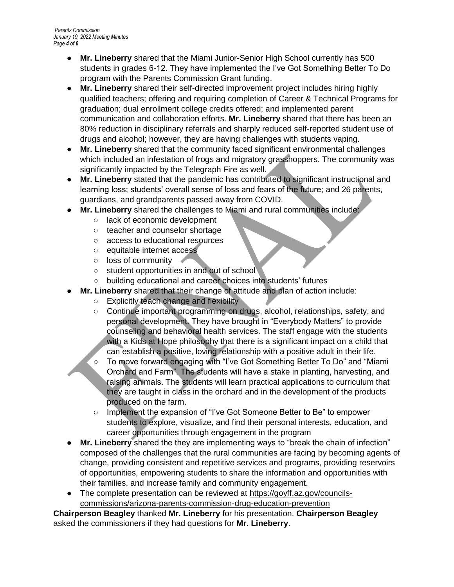- **Mr. Lineberry** shared that the Miami Junior-Senior High School currently has 500 students in grades 6-12. They have implemented the I've Got Something Better To Do program with the Parents Commission Grant funding.
- **Mr. Lineberry** shared their self-directed improvement project includes hiring highly qualified teachers; offering and requiring completion of Career & Technical Programs for graduation; dual enrollment college credits offered; and implemented parent communication and collaboration efforts. **Mr. Lineberry** shared that there has been an 80% reduction in disciplinary referrals and sharply reduced self-reported student use of drugs and alcohol; however, they are having challenges with students vaping.
- **Mr. Lineberry** shared that the community faced significant environmental challenges which included an infestation of frogs and migratory grasshoppers. The community was significantly impacted by the Telegraph Fire as well.
- **Mr. Lineberry** stated that the pandemic has contributed to significant instructional and learning loss; students' overall sense of loss and fears of the future; and 26 parents, guardians, and grandparents passed away from COVID.
- **Mr. Lineberry** shared the challenges to Miami and rural communities include:
	- lack of economic development
	- teacher and counselor shortage
	- access to educational resources
	- equitable internet access
	- loss of community
	- student opportunities in and out of school
	- building educational and career choices into students' futures
	- **Mr. Lineberry** shared that their change of attitude and plan of action include:
		- Explicitly teach change and flexibility
		- Continue important programming on drugs, alcohol, relationships, safety, and personal development. They have brought in "Everybody Matters" to provide counseling and behavioral health services. The staff engage with the students with a Kids at Hope philosophy that there is a significant impact on a child that can establish a positive, loving relationship with a positive adult in their life.
		- To move forward engaging with "I've Got Something Better To Do" and "Miami Orchard and Farm". The students will have a stake in planting, harvesting, and raising animals. The students will learn practical applications to curriculum that they are taught in class in the orchard and in the development of the products produced on the farm.
			- Implement the expansion of "I've Got Someone Better to Be" to empower students to explore, visualize, and find their personal interests, education, and career opportunities through engagement in the program
- **Mr. Lineberry** shared the they are implementing ways to "break the chain of infection" composed of the challenges that the rural communities are facing by becoming agents of change, providing consistent and repetitive services and programs, providing reservoirs of opportunities, empowering students to share the information and opportunities with their families, and increase family and community engagement.
- The complete presentation can be reviewed at [https://goyff.az.gov/councils](https://goyff.az.gov/councils-commissions/arizona-parents-commission-drug-education-prevention)[commissions/arizona-parents-commission-drug-education-prevention](https://goyff.az.gov/councils-commissions/arizona-parents-commission-drug-education-prevention)

**Chairperson Beagley** thanked **Mr. Lineberry** for his presentation. **Chairperson Beagley** asked the commissioners if they had questions for **Mr. Lineberry**.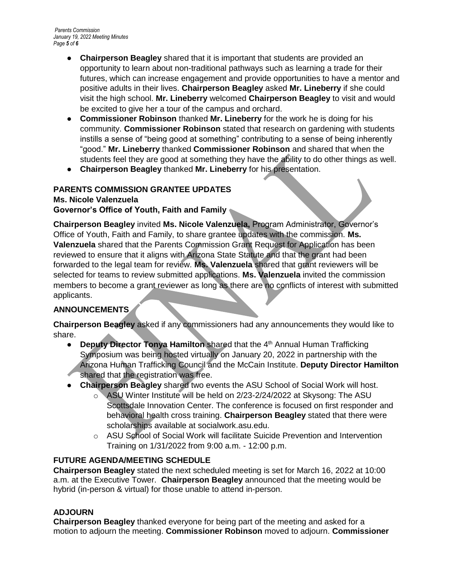- **Chairperson Beagley** shared that it is important that students are provided an opportunity to learn about non-traditional pathways such as learning a trade for their futures, which can increase engagement and provide opportunities to have a mentor and positive adults in their lives. **Chairperson Beagley** asked **Mr. Lineberry** if she could visit the high school. **Mr. Lineberry** welcomed **Chairperson Beagley** to visit and would be excited to give her a tour of the campus and orchard.
- **Commissioner Robinson** thanked **Mr. Lineberry** for the work he is doing for his community. **Commissioner Robinson** stated that research on gardening with students instills a sense of "being good at something" contributing to a sense of being inherently "good." **Mr. Lineberry** thanked **Commissioner Robinson** and shared that when the students feel they are good at something they have the ability to do other things as well.
- **Chairperson Beagley** thanked **Mr. Lineberry** for his presentation.

# **PARENTS COMMISSION GRANTEE UPDATES**

## **Ms. Nicole Valenzuela**

**Governor's Office of Youth, Faith and Family**

**Chairperson Beagley** invited **Ms. Nicole Valenzuela,** Program Administrator, Governor's Office of Youth, Faith and Family, to share grantee updates with the commission. **Ms. Valenzuela** shared that the Parents Commission Grant Request for Application has been reviewed to ensure that it aligns with Arizona State Statute and that the grant had been forwarded to the legal team for review. **Ms. Valenzuela** shared that grant reviewers will be selected for teams to review submitted applications. **Ms. Valenzuela** invited the commission members to become a grant reviewer as long as there are no conflicts of interest with submitted applicants.

## **ANNOUNCEMENTS**

**Chairperson Beagley** asked if any commissioners had any announcements they would like to share.

- **Deputy Director Tonya Hamilton shared that the 4<sup>th</sup> Annual Human Trafficking** Symposium was being hosted virtually on January 20, 2022 in partnership with the Arizona Human Trafficking Council and the McCain Institute. **Deputy Director Hamilton**
- shared that the registration was free.
- **Chairperson Beagley** shared two events the ASU School of Social Work will host.
	- o ASU Winter Institute will be held on 2/23-2/24/2022 at Skysong: The ASU Scottsdale Innovation Center. The conference is focused on first responder and behavioral health cross training. **Chairperson Beagley** stated that there were scholarships available at socialwork.asu.edu.
	- o ASU School of Social Work will facilitate Suicide Prevention and Intervention Training on 1/31/2022 from 9:00 a.m. - 12:00 p.m.

#### **FUTURE AGENDA/MEETING SCHEDULE**

**Chairperson Beagley** stated the next scheduled meeting is set for March 16, 2022 at 10:00 a.m. at the Executive Tower. **Chairperson Beagley** announced that the meeting would be hybrid (in-person & virtual) for those unable to attend in-person.

#### **ADJOURN**

**Chairperson Beagley** thanked everyone for being part of the meeting and asked for a motion to adjourn the meeting. **Commissioner Robinson** moved to adjourn. **Commissioner**